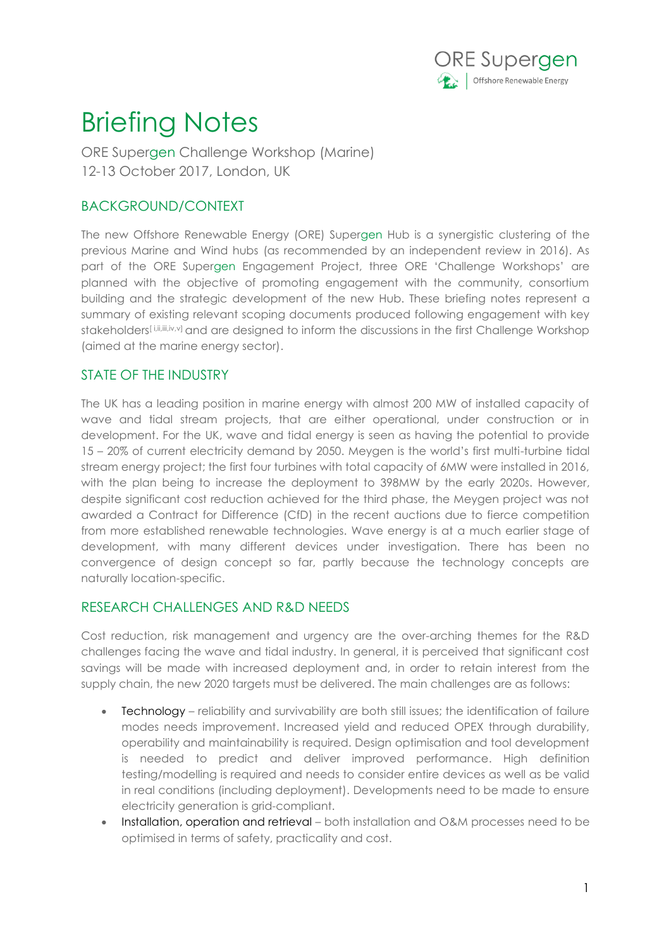

## Briefing Notes

ORE Supergen Challenge Workshop (Marine) 12-13 October 2017, London, UK

## BACKGROUND/CONTEXT

The new Offshore Renewable Energy (ORE) Supergen Hub is a synergistic clustering of the previous Marine and Wind hubs (as recommended by an independent review in 2016). As part of the ORE Supergen Engagement Project, three ORE 'Challenge Workshops' are planned with the objective of promoting engagement with the community, consortium building and the strategic development of the new Hub. These briefing notes represent a summary of existing relevant scoping documents produced following engagement with key stakeholders[i,ii,iii,iv,v] and are designed to inform the discussions in the first Challenge Workshop (aimed at the marine energy sector).

## STATE OF THE INDUSTRY

The UK has a leading position in marine energy with almost 200 MW of installed capacity of wave and tidal stream projects, that are either operational, under construction or in development. For the UK, wave and tidal energy is seen as having the potential to provide 15 – 20% of current electricity demand by 2050. Meygen is the world's first multi-turbine tidal stream energy project; the first four turbines with total capacity of 6MW were installed in 2016, with the plan being to increase the deployment to 398MW by the early 2020s. However, despite significant cost reduction achieved for the third phase, the Meygen project was not awarded a Contract for Difference (CfD) in the recent auctions due to fierce competition from more established renewable technologies. Wave energy is at a much earlier stage of development, with many different devices under investigation. There has been no convergence of design concept so far, partly because the technology concepts are naturally location-specific.

## RESEARCH CHALLENGES AND R&D NEEDS

Cost reduction, risk management and urgency are the over-arching themes for the R&D challenges facing the wave and tidal industry. In general, it is perceived that significant cost savings will be made with increased deployment and, in order to retain interest from the supply chain, the new 2020 targets must be delivered. The main challenges are as follows:

- Technology reliability and survivability are both still issues; the identification of failure modes needs improvement. Increased yield and reduced OPEX through durability, operability and maintainability is required. Design optimisation and tool development is needed to predict and deliver improved performance. High definition testing/modelling is required and needs to consider entire devices as well as be valid in real conditions (including deployment). Developments need to be made to ensure electricity generation is grid-compliant.
- Installation, operation and retrieval both installation and O&M processes need to be optimised in terms of safety, practicality and cost.